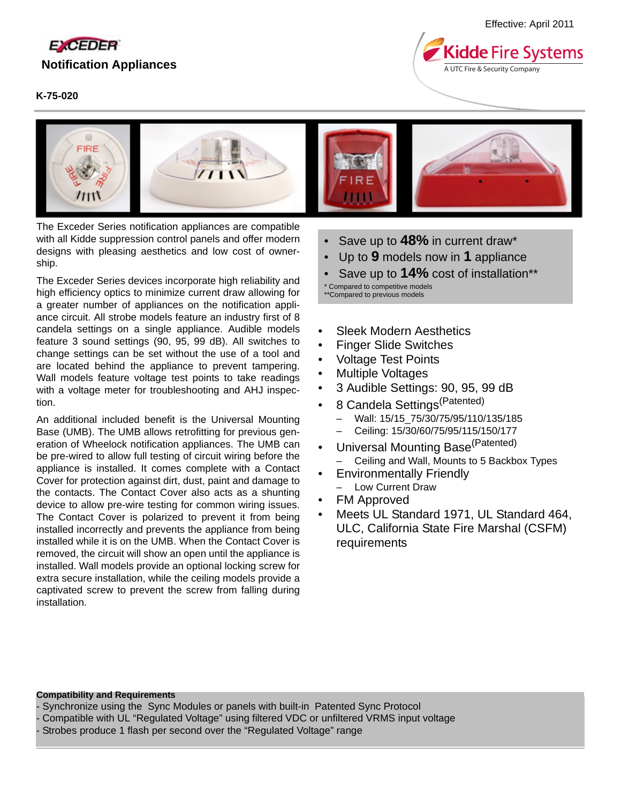

## **K-75-020**

**Kidde Fire Systems** A UTC Fire & Security Company



The Exceder Series notification appliances are compatible with all Kidde suppression control panels and offer modern designs with pleasing aesthetics and low cost of ownership.

The Exceder Series devices incorporate high reliability and high efficiency optics to minimize current draw allowing for a greater number of appliances on the notification appliance circuit. All strobe models feature an industry first of 8 candela settings on a single appliance. Audible models feature 3 sound settings (90, 95, 99 dB). All switches to change settings can be set without the use of a tool and are located behind the appliance to prevent tampering. Wall models feature voltage test points to take readings with a voltage meter for troubleshooting and AHJ inspection.

An additional included benefit is the Universal Mounting Base (UMB). The UMB allows retrofitting for previous generation of Wheelock notification appliances. The UMB can be pre-wired to allow full testing of circuit wiring before the appliance is installed. It comes complete with a Contact Cover for protection against dirt, dust, paint and damage to the contacts. The Contact Cover also acts as a shunting device to allow pre-wire testing for common wiring issues. The Contact Cover is polarized to prevent it from being installed incorrectly and prevents the appliance from being installed while it is on the UMB. When the Contact Cover is removed, the circuit will show an open until the appliance is installed. Wall models provide an optional locking screw for extra secure installation, while the ceiling models provide a captivated screw to prevent the screw from falling during installation.

- Save up to **48%** in current draw\*
- Up to **9** models now in **1** appliance
- Save up to **14%** cost of installation\*\* \* Compared to competitive models \*\*Compared to previous models
- Sleek Modern Aesthetics
- Finger Slide Switches
- Voltage Test Points
- Multiple Voltages
- 3 Audible Settings: 90, 95, 99 dB
- 8 Candela Settings<sup>(Patented)</sup>
	- Wall: 15/15\_75/30/75/95/110/135/185
	- Ceiling: 15/30/60/75/95/115/150/177
- Universal Mounting Base<sup>(Patented)</sup>
	- Ceiling and Wall, Mounts to 5 Backbox Types
- Environmentally Friendly – Low Current Draw
- FM Approved
- Meets UL Standard 1971, UL Standard 464, ULC, California State Fire Marshal (CSFM) requirements

#### **Compatibility and Requirements**

- Synchronize using the Sync Modules or panels with built-in Patented Sync Protocol

- Compatible with UL "Regulated Voltage" using filtered VDC or unfiltered VRMS input voltage
- Strobes produce 1 flash per second over the "Regulated Voltage" range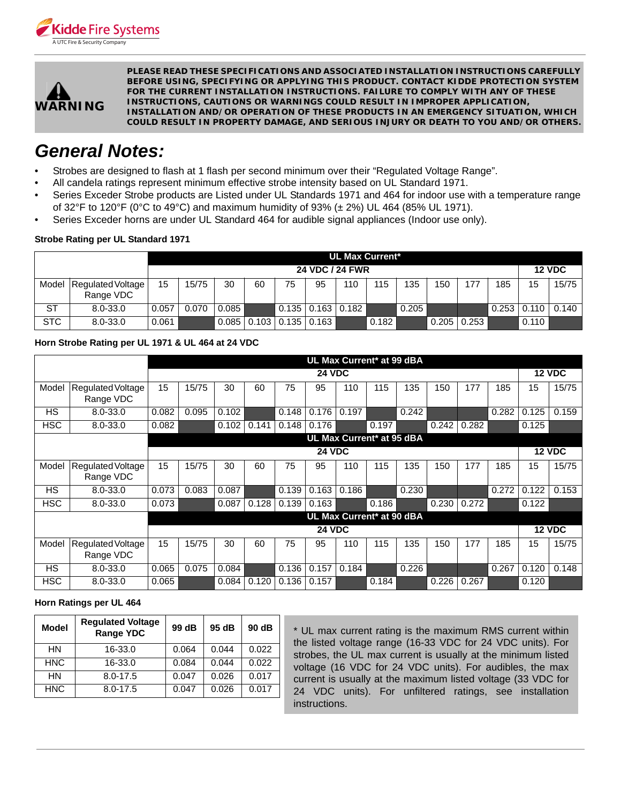



**PLEASE READ THESE SPECIFICATIONS AND ASSOCIATED INSTALLATION INSTRUCTIONS CAREFULLY BEFORE USING, SPECIFYING OR APPLYING THIS PRODUCT. CONTACT KIDDE PROTECTION SYSTEM FOR THE CURRENT INSTALLATION INSTRUCTIONS. FAILURE TO COMPLY WITH ANY OF THESE INSTRUCTIONS, CAUTIONS OR WARNINGS COULD RESULT IN IMPROPER APPLICATION, INSTALLATION AND/OR OPERATION OF THESE PRODUCTS IN AN EMERGENCY SITUATION, WHICH COULD RESULT IN PROPERTY DAMAGE, AND SERIOUS INJURY OR DEATH TO YOU AND/OR OTHERS.**

# *General Notes:*

- Strobes are designed to flash at 1 flash per second minimum over their "Regulated Voltage Range".
- All candela ratings represent minimum effective strobe intensity based on UL Standard 1971.
- Series Exceder Strobe products are Listed under UL Standards 1971 and 464 for indoor use with a temperature range of 32°F to 120°F (0°C to 49°C) and maximum humidity of 93% ( $\pm$  2%) UL 464 (85% UL 1971).
- Series Exceder horns are under UL Standard 464 for audible signal appliances (Indoor use only).

## **Strobe Rating per UL Standard 1971**

|            |                                | <b>UL Max Current*</b> |       |       |       |    |                               |     |       |               |       |       |       |       |       |
|------------|--------------------------------|------------------------|-------|-------|-------|----|-------------------------------|-----|-------|---------------|-------|-------|-------|-------|-------|
|            |                                | 24 VDC / 24 FWR        |       |       |       |    |                               |     |       | <b>12 VDC</b> |       |       |       |       |       |
| Model      | Regulated Voltage<br>Range VDC | 15                     | 15/75 | 30    | 60    | 75 | 95                            | 110 | 115   | 135           | 150   | 177   | 185   | 15    | 15/75 |
| <b>ST</b>  | $8.0 - 33.0$                   | 0.057                  | 0.070 | 0.085 |       |    | $0.135 \mid 0.163 \mid 0.182$ |     |       | 0.205         |       |       | 0.253 | 0.110 | 0.140 |
| <b>STC</b> | $8.0 - 33.0$                   | 0.061                  |       | 0.085 | 0.103 |    | $0.135$ $0.163$               |     | 0.182 |               | 0.205 | 0.253 |       | 0.110 |       |

# **Horn Strobe Rating per UL 1971 & UL 464 at 24 VDC**

|                           |                                | UL Max Current* at 99 dBA |               |       |       |       |       |       |               |       |               |               |       |       |       |
|---------------------------|--------------------------------|---------------------------|---------------|-------|-------|-------|-------|-------|---------------|-------|---------------|---------------|-------|-------|-------|
|                           |                                | <b>24 VDC</b>             |               |       |       |       |       |       |               |       | <b>12 VDC</b> |               |       |       |       |
| Model                     | Regulated Voltage<br>Range VDC | 15                        | 15/75         | 30    | 60    | 75    | 95    | 110   | 115           | 135   | 150           | 177           | 185   | 15    | 15/75 |
| <b>HS</b>                 | 8.0-33.0                       | 0.082                     | 0.095         | 0.102 |       | 0.148 | 0.176 | 0.197 |               | 0.242 |               |               | 0.282 | 0.125 | 0.159 |
| <b>HSC</b>                | 8.0-33.0                       | 0.082                     |               | 0.102 | 0.141 | 0.148 | 0.176 |       | 0.197         |       | 0.242         | 0.282         |       | 0.125 |       |
|                           | UL Max Current* at 95 dBA      |                           |               |       |       |       |       |       |               |       |               |               |       |       |       |
|                           |                                |                           | <b>24 VDC</b> |       |       |       |       |       |               |       |               | <b>12 VDC</b> |       |       |       |
| Model                     | Regulated Voltage<br>Range VDC | 15                        | 15/75         | 30    | 60    | 75    | 95    | 110   | 115           | 135   | 150           | 177           | 185   | 15    | 15/75 |
| <b>HS</b>                 | 8.0-33.0                       | 0.073                     | 0.083         | 0.087 |       | 0.139 | 0.163 | 0.186 |               | 0.230 |               |               | 0.272 | 0.122 | 0.153 |
| <b>HSC</b>                | 8.0-33.0                       | 0.073                     |               | 0.087 | 0.128 | 0.139 | 0.163 |       | 0.186         |       | 0.230         | 0.272         |       | 0.122 |       |
| UL Max Current* at 90 dBA |                                |                           |               |       |       |       |       |       |               |       |               |               |       |       |       |
|                           |                                | <b>24 VDC</b>             |               |       |       |       |       |       | <b>12 VDC</b> |       |               |               |       |       |       |
| Model                     | Regulated Voltage<br>Range VDC | 15                        | 15/75         | 30    | 60    | 75    | 95    | 110   | 115           | 135   | 150           | 177           | 185   | 15    | 15/75 |
| <b>HS</b>                 | 8.0-33.0                       | 0.065                     | 0.075         | 0.084 |       | 0.136 | 0.157 | 0.184 |               | 0.226 |               |               | 0.267 | 0.120 | 0.148 |
| <b>HSC</b>                | $8.0 - 33.0$                   | 0.065                     |               | 0.084 | 0.120 | 0.136 | 0.157 |       | 0.184         |       | 0.226         | 0.267         |       | 0.120 |       |

## **Horn Ratings per UL 464**

| <b>Model</b> | <b>Regulated Voltage</b><br><b>Range YDC</b> | 99 dB | 95 dB | 90 dB |
|--------------|----------------------------------------------|-------|-------|-------|
| HN           | 16-33.0                                      | 0.064 | 0.044 | 0.022 |
| <b>HNC</b>   | 16-33.0                                      | 0.084 | 0.044 | 0.022 |
| HN           | $8.0 - 17.5$                                 | 0.047 | 0.026 | 0.017 |
| <b>HNC</b>   | $8.0 - 17.5$                                 | 0.047 | 0.026 | 0.017 |

\* UL max current rating is the maximum RMS current within the listed voltage range (16-33 VDC for 24 VDC units). For strobes, the UL max current is usually at the minimum listed voltage (16 VDC for 24 VDC units). For audibles, the max current is usually at the maximum listed voltage (33 VDC for 24 VDC units). For unfiltered ratings, see installation instructions.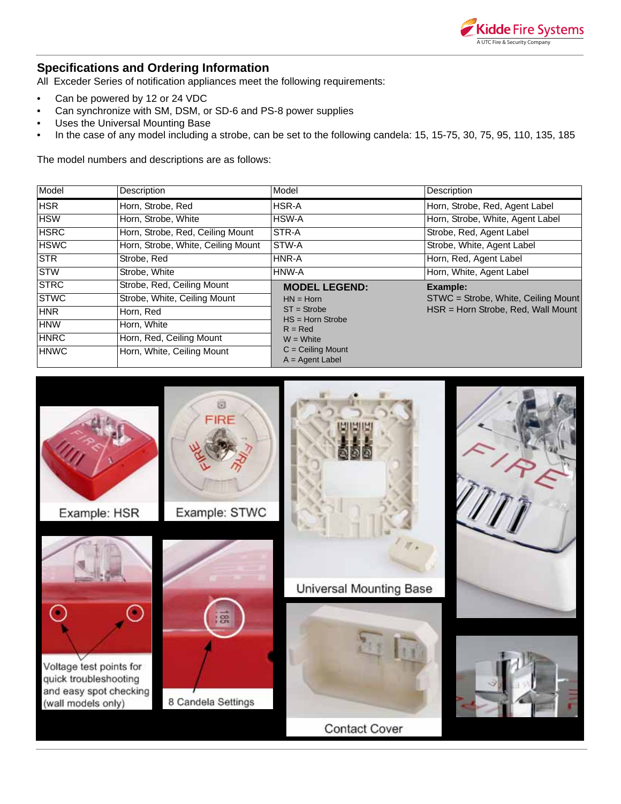

# **Specifications and Ordering Information**

All Exceder Series of notification appliances meet the following requirements:

- Can be powered by 12 or 24 VDC
- Can synchronize with SM, DSM, or SD-6 and PS-8 power supplies
- Uses the Universal Mounting Base
- In the case of any model including a strobe, can be set to the following candela: 15, 15-75, 30, 75, 95, 110, 135, 185

The model numbers and descriptions are as follows:

| Model       | Description                        | Model                               | Description                         |
|-------------|------------------------------------|-------------------------------------|-------------------------------------|
| <b>HSR</b>  | Horn, Strobe, Red                  | HSR-A                               | Horn, Strobe, Red, Agent Label      |
| <b>HSW</b>  | Horn, Strobe, White                | HSW-A                               | Horn, Strobe, White, Agent Label    |
| <b>HSRC</b> | Horn, Strobe, Red, Ceiling Mount   | STR-A                               | Strobe, Red, Agent Label            |
| <b>HSWC</b> | Horn, Strobe, White, Ceiling Mount | STW-A                               | Strobe, White, Agent Label          |
| <b>STR</b>  | Strobe, Red                        | HNR-A                               | Horn, Red, Agent Label              |
| <b>STW</b>  | Strobe, White                      | HNW-A                               | Horn, White, Agent Label            |
| <b>STRC</b> | Strobe, Red, Ceiling Mount         | <b>MODEL LEGEND:</b>                | Example:                            |
| <b>STWC</b> | Strobe, White, Ceiling Mount       | $HN = Horn$                         | STWC = Strobe, White, Ceiling Mount |
| <b>HNR</b>  | Horn, Red                          | $ST =$ Strobe<br>$HS = Horn$ Strobe | HSR = Horn Strobe, Red, Wall Mount  |
| <b>HNW</b>  | Horn, White                        | $R = Red$                           |                                     |
| <b>HNRC</b> | Horn, Red, Ceiling Mount           | $W = White$                         |                                     |
| <b>HNWC</b> | Horn, White, Ceiling Mount         | $C =$ Ceiling Mount                 |                                     |
|             |                                    | $A = Agent$ Label                   |                                     |